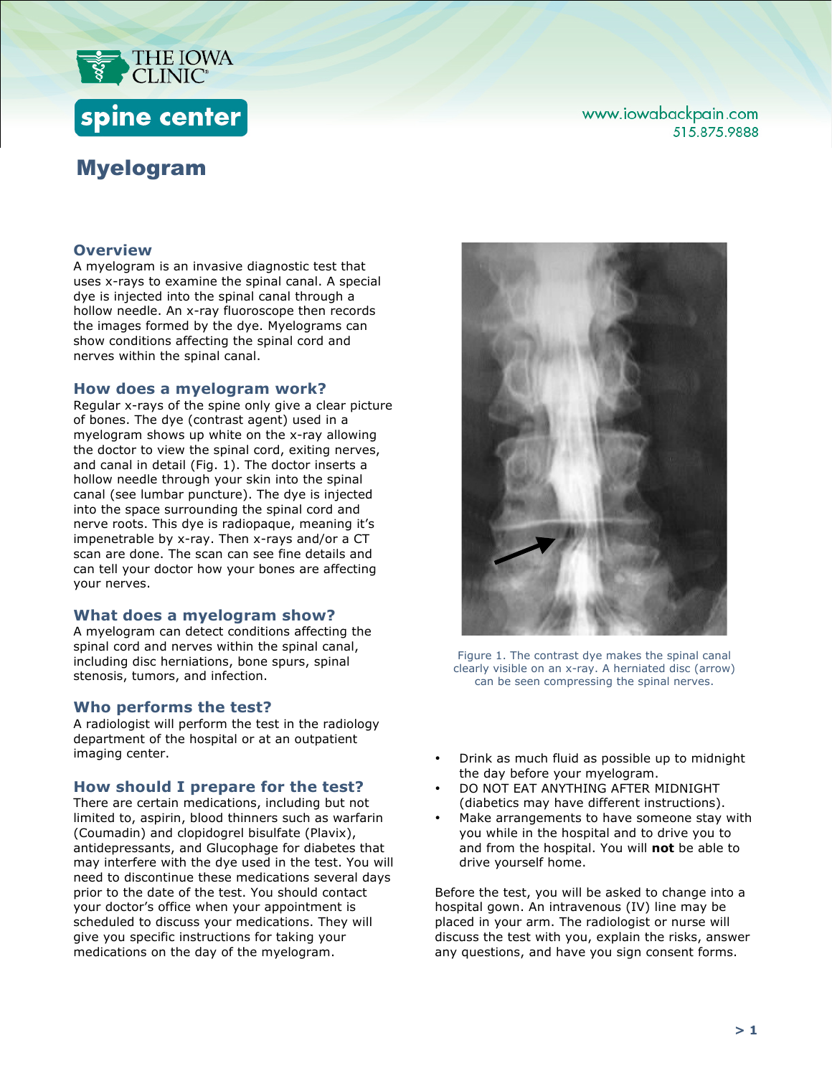

# spine center

## Myelogram

## www.iowabackpain.com 515.875.9888

## **Overview**

A myelogram is an invasive diagnostic test that uses x-rays to examine the spinal canal. A special dye is injected into the spinal canal through a hollow needle. An x-ray fluoroscope then records the images formed by the dye. Myelograms can show conditions affecting the spinal cord and nerves within the spinal canal.

#### **How does a myelogram work?**

Regular x-rays of the spine only give a clear picture of bones. The dye (contrast agent) used in a myelogram shows up white on the x-ray allowing the doctor to view the spinal cord, exiting nerves, and canal in detail (Fig. 1). The doctor inserts a hollow needle through your skin into the spinal canal (see lumbar puncture). The dye is injected into the space surrounding the spinal cord and nerve roots. This dye is radiopaque, meaning it's impenetrable by x-ray. Then x-rays and/or a CT scan are done. The scan can see fine details and can tell your doctor how your bones are affecting your nerves.

#### **What does a myelogram show?**

A myelogram can detect conditions affecting the spinal cord and nerves within the spinal canal, including disc herniations, bone spurs, spinal stenosis, tumors, and infection.

#### **Who performs the test?**

A radiologist will perform the test in the radiology department of the hospital or at an outpatient imaging center.

#### **How should I prepare for the test?**

There are certain medications, including but not limited to, aspirin, blood thinners such as warfarin (Coumadin) and clopidogrel bisulfate (Plavix), antidepressants, and Glucophage for diabetes that may interfere with the dye used in the test. You will need to discontinue these medications several days prior to the date of the test. You should contact your doctor's office when your appointment is scheduled to discuss your medications. They will give you specific instructions for taking your medications on the day of the myelogram.



Figure 1. The contrast dye makes the spinal canal clearly visible on an x-ray. A herniated disc (arrow) can be seen compressing the spinal nerves.

- Drink as much fluid as possible up to midnight the day before your myelogram.
- DO NOT EAT ANYTHING AFTER MIDNIGHT (diabetics may have different instructions).
- Make arrangements to have someone stay with you while in the hospital and to drive you to and from the hospital. You will **not** be able to drive yourself home.

Before the test, you will be asked to change into a hospital gown. An intravenous (IV) line may be placed in your arm. The radiologist or nurse will discuss the test with you, explain the risks, answer any questions, and have you sign consent forms.